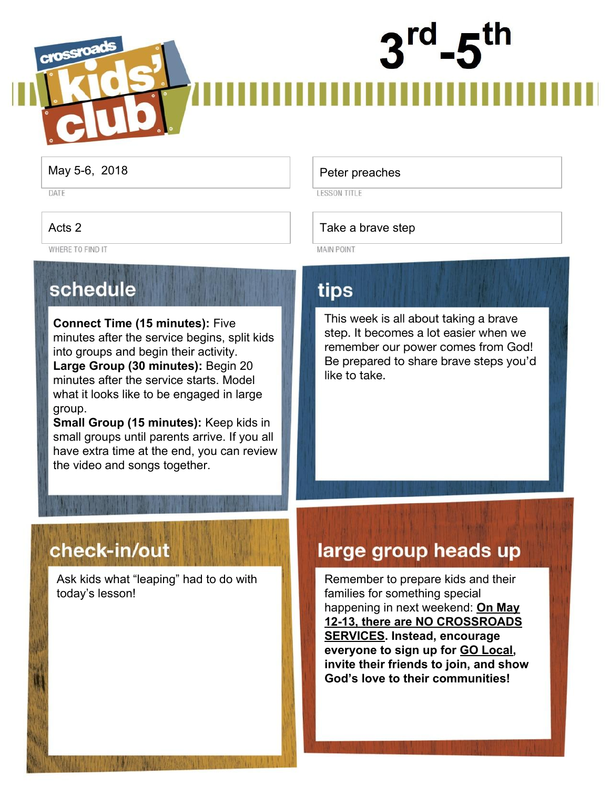# crossroa

DATE

WHERE TO FIND IT

#### schedule

**Connect Time (15 minutes):** Five minutes after the service begins, split kids into groups and begin their activity. **Large Group (30 minutes):** Begin 20 minutes after the service starts. Model what it looks like to be engaged in large group.

**Small Group (15 minutes):** Keep kids in small groups until parents arrive. If you all have extra time at the end, you can review the video and songs together.

#### May 5-6, 2018 **Peter preaches**

**LESSON TITLE** 

#### Acts 2 Take a brave step

**MAIN POINT** 

#### tips

This week is all about taking a brave step. It becomes a lot easier when we remember our power comes from God! Be prepared to share brave steps you'd like to take.

#### check-in/out

Ask kids what "leaping" had to do with today's lesson!

#### large group heads up

Remember to prepare kids and their families for something special happening in next weekend: **On May 12-13, there are NO CROSSROADS SERVICES. Instead, encourage everyone to sign up for GO Local, invite their friends to join, and show God's love to their communities!**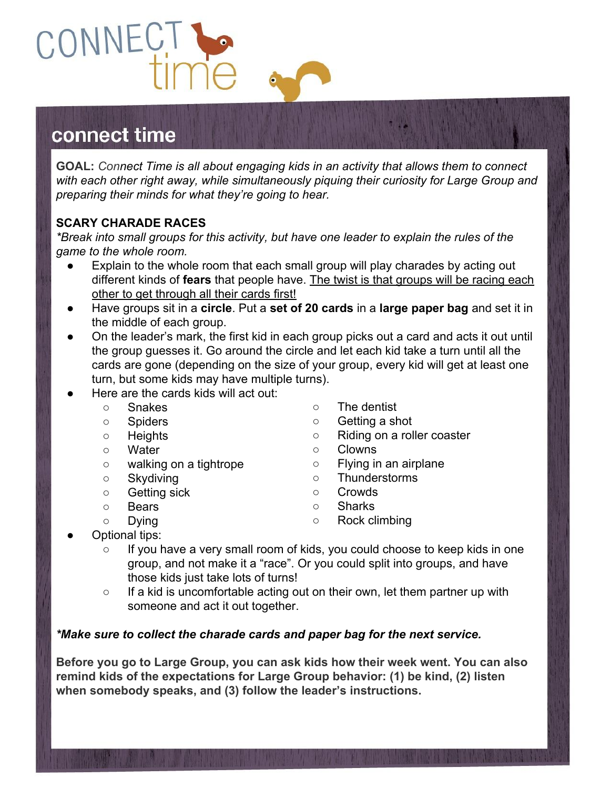#### connect time

CONNEC

**GOAL:** *Connect Time is all about engaging kids in an activity that allows them to connect with each other right away, while simultaneously piquing their curiosity for Large Group and preparing their minds for what they're going to hear.*

#### **SCARY CHARADE RACES**

*\*Break into small groups for this activity, but have one leader to explain the rules of the game to the whole room.*

- Explain to the whole room that each small group will play charades by acting out different kinds of **fears** that people have. The twist is that groups will be racing each other to get through all their cards first!
- Have groups sit in a **circle**. Put a **set of 20 cards** in a **large paper bag** and set it in the middle of each group.
- On the leader's mark, the first kid in each group picks out a card and acts it out until the group guesses it. Go around the circle and let each kid take a turn until all the cards are gone (depending on the size of your group, every kid will get at least one turn, but some kids may have multiple turns).
- Here are the cards kids will act out:
	- Snakes
	- Spiders
	- Heights
	- Water
	- walking on a tightrope
	- Skydiving
	- Getting sick
	- Bears ○ Dying
- The dentist
- Getting a shot
- Riding on a roller coaster
- Clowns
- Flying in an airplane
- Thunderstorms
- Crowds
- Sharks
- Rock climbing
- Optional tips:
	- If you have a very small room of kids, you could choose to keep kids in one group, and not make it a "race". Or you could split into groups, and have those kids just take lots of turns!
	- If a kid is uncomfortable acting out on their own, let them partner up with someone and act it out together.

#### *\*Make sure to collect the charade cards and paper bag for the next service.*

**Before you go to Large Group, you can ask kids how their week went. You can also remind kids of the expectations for Large Group behavior: (1) be kind, (2) listen when somebody speaks, and (3) follow the leader's instructions.**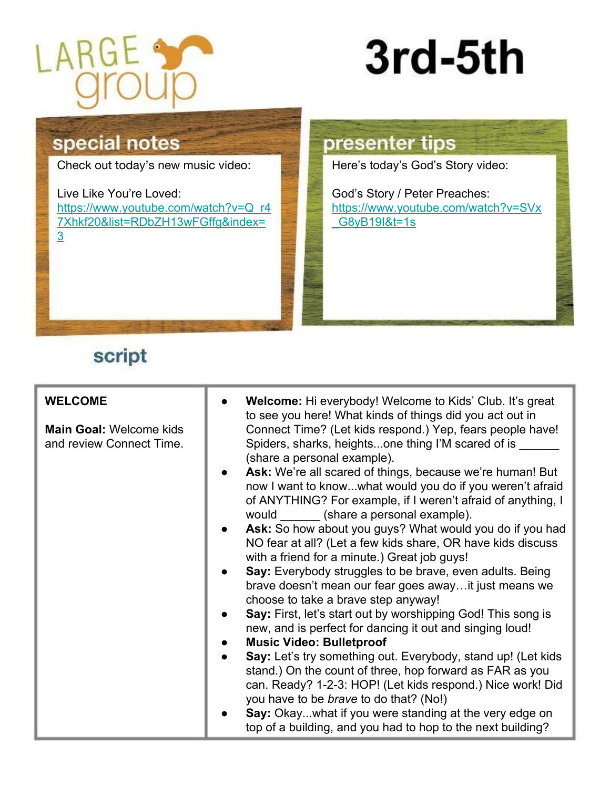

### 3rd-5th

#### special notes

Check out today's new music video:

Live Like You're Loved: [https://www.youtube.com/watch?v=Q\\_r4](https://www.youtube.com/watch?v=Q_r47Xhkf20&list=RDbZH13wFGffg&index=3) [7Xhkf20&list=RDbZH13wFGffg&index=](https://www.youtube.com/watch?v=Q_r47Xhkf20&list=RDbZH13wFGffg&index=3) [3](https://www.youtube.com/watch?v=Q_r47Xhkf20&list=RDbZH13wFGffg&index=3)

#### presenter tips

Here's today's God's Story video:

God's Story / Peter Preaches: [https://www.youtube.com/watch?v=SVx](https://www.youtube.com/watch?v=SVx_G8yB19I&t=1s) G8yB19I&t=1s

#### script

| stand.) On the count of three, hop forward as FAR as you<br>can. Ready? 1-2-3: HOP! (Let kids respond.) Nice work! Did<br>you have to be <i>brave</i> to do that? (No!)<br>Say: Okaywhat if you were standing at the very edge on<br>top of a building, and you had to hop to the next building? | <b>WELCOME</b><br><b>Main Goal: Welcome kids</b><br>and review Connect Time. | <b>Welcome:</b> Hi everybody! Welcome to Kids' Club. It's great<br>to see you here! What kinds of things did you act out in<br>Connect Time? (Let kids respond.) Yep, fears people have!<br>Spiders, sharks, heightsone thing I'M scared of is<br>(share a personal example).<br>Ask: We're all scared of things, because we're human! But<br>now I want to knowwhat would you do if you weren't afraid<br>of ANYTHING? For example, if I weren't afraid of anything, I<br>would ______ (share a personal example).<br>Ask: So how about you guys? What would you do if you had<br>NO fear at all? (Let a few kids share, OR have kids discuss<br>with a friend for a minute.) Great job guys!<br>Say: Everybody struggles to be brave, even adults. Being<br>brave doesn't mean our fear goes away it just means we<br>choose to take a brave step anyway!<br>Say: First, let's start out by worshipping God! This song is<br>new, and is perfect for dancing it out and singing loud!<br><b>Music Video: Bulletproof</b><br>Say: Let's try something out. Everybody, stand up! (Let kids |
|--------------------------------------------------------------------------------------------------------------------------------------------------------------------------------------------------------------------------------------------------------------------------------------------------|------------------------------------------------------------------------------|--------------------------------------------------------------------------------------------------------------------------------------------------------------------------------------------------------------------------------------------------------------------------------------------------------------------------------------------------------------------------------------------------------------------------------------------------------------------------------------------------------------------------------------------------------------------------------------------------------------------------------------------------------------------------------------------------------------------------------------------------------------------------------------------------------------------------------------------------------------------------------------------------------------------------------------------------------------------------------------------------------------------------------------------------------------------------------------------|
|--------------------------------------------------------------------------------------------------------------------------------------------------------------------------------------------------------------------------------------------------------------------------------------------------|------------------------------------------------------------------------------|--------------------------------------------------------------------------------------------------------------------------------------------------------------------------------------------------------------------------------------------------------------------------------------------------------------------------------------------------------------------------------------------------------------------------------------------------------------------------------------------------------------------------------------------------------------------------------------------------------------------------------------------------------------------------------------------------------------------------------------------------------------------------------------------------------------------------------------------------------------------------------------------------------------------------------------------------------------------------------------------------------------------------------------------------------------------------------------------|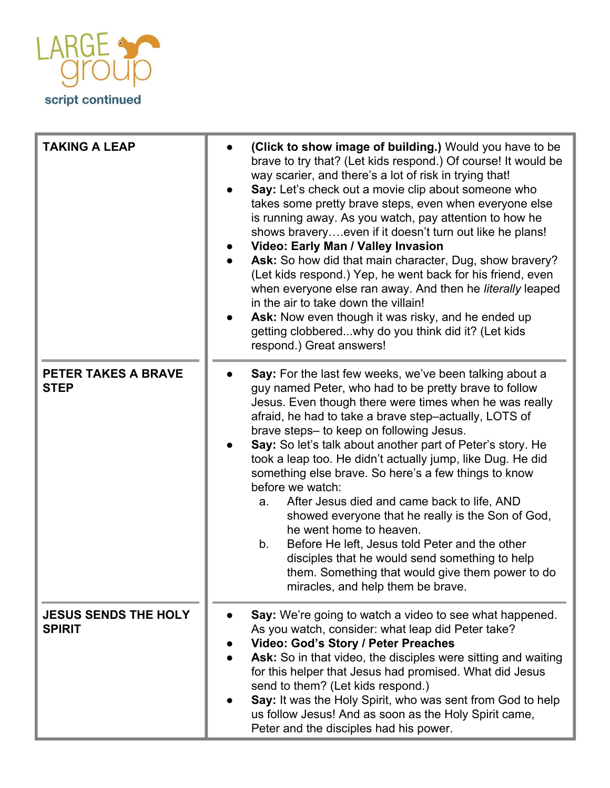

| <b>TAKING A LEAP</b>                         | (Click to show image of building.) Would you have to be<br>brave to try that? (Let kids respond.) Of course! It would be<br>way scarier, and there's a lot of risk in trying that!<br>Say: Let's check out a movie clip about someone who<br>takes some pretty brave steps, even when everyone else<br>is running away. As you watch, pay attention to how he<br>shows braveryeven if it doesn't turn out like he plans!<br>Video: Early Man / Valley Invasion<br>Ask: So how did that main character, Dug, show bravery?<br>(Let kids respond.) Yep, he went back for his friend, even<br>when everyone else ran away. And then he literally leaped<br>in the air to take down the villain!<br>Ask: Now even though it was risky, and he ended up<br>getting clobberedwhy do you think did it? (Let kids<br>respond.) Great answers! |
|----------------------------------------------|---------------------------------------------------------------------------------------------------------------------------------------------------------------------------------------------------------------------------------------------------------------------------------------------------------------------------------------------------------------------------------------------------------------------------------------------------------------------------------------------------------------------------------------------------------------------------------------------------------------------------------------------------------------------------------------------------------------------------------------------------------------------------------------------------------------------------------------|
| <b>PETER TAKES A BRAVE</b><br><b>STEP</b>    | Say: For the last few weeks, we've been talking about a<br>guy named Peter, who had to be pretty brave to follow<br>Jesus. Even though there were times when he was really<br>afraid, he had to take a brave step-actually, LOTS of<br>brave steps- to keep on following Jesus.<br>Say: So let's talk about another part of Peter's story. He<br>took a leap too. He didn't actually jump, like Dug. He did<br>something else brave. So here's a few things to know<br>before we watch:<br>After Jesus died and came back to life, AND<br>a.<br>showed everyone that he really is the Son of God,<br>he went home to heaven.<br>Before He left, Jesus told Peter and the other<br>b.<br>disciples that he would send something to help<br>them. Something that would give them power to do<br>miracles, and help them be brave.       |
| <b>JESUS SENDS THE HOLY</b><br><b>SPIRIT</b> | Say: We're going to watch a video to see what happened.<br>As you watch, consider: what leap did Peter take?<br>Video: God's Story / Peter Preaches<br>Ask: So in that video, the disciples were sitting and waiting<br>for this helper that Jesus had promised. What did Jesus<br>send to them? (Let kids respond.)<br>Say: It was the Holy Spirit, who was sent from God to help<br>us follow Jesus! And as soon as the Holy Spirit came,<br>Peter and the disciples had his power.                                                                                                                                                                                                                                                                                                                                                 |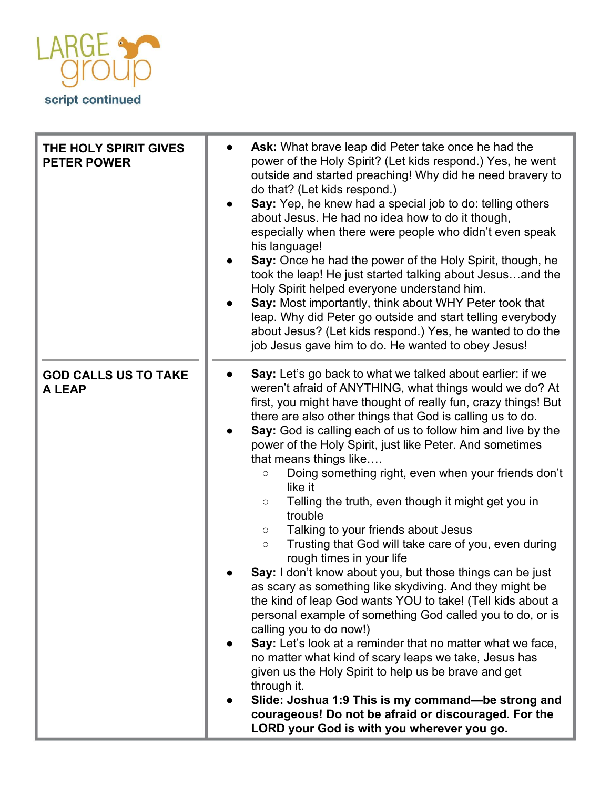

| THE HOLY SPIRIT GIVES<br><b>PETER POWER</b> | Ask: What brave leap did Peter take once he had the<br>power of the Holy Spirit? (Let kids respond.) Yes, he went<br>outside and started preaching! Why did he need bravery to<br>do that? (Let kids respond.)<br>Say: Yep, he knew had a special job to do: telling others<br>about Jesus. He had no idea how to do it though,<br>especially when there were people who didn't even speak<br>his language!<br>Say: Once he had the power of the Holy Spirit, though, he<br>took the leap! He just started talking about Jesusand the<br>Holy Spirit helped everyone understand him.<br>Say: Most importantly, think about WHY Peter took that<br>leap. Why did Peter go outside and start telling everybody<br>about Jesus? (Let kids respond.) Yes, he wanted to do the<br>job Jesus gave him to do. He wanted to obey Jesus!                                                                                                                                                                                                                                                                                                                                                                                                                                                                                                                                   |
|---------------------------------------------|-------------------------------------------------------------------------------------------------------------------------------------------------------------------------------------------------------------------------------------------------------------------------------------------------------------------------------------------------------------------------------------------------------------------------------------------------------------------------------------------------------------------------------------------------------------------------------------------------------------------------------------------------------------------------------------------------------------------------------------------------------------------------------------------------------------------------------------------------------------------------------------------------------------------------------------------------------------------------------------------------------------------------------------------------------------------------------------------------------------------------------------------------------------------------------------------------------------------------------------------------------------------------------------------------------------------------------------------------------------------|
| <b>GOD CALLS US TO TAKE</b><br>A LEAP       | Say: Let's go back to what we talked about earlier: if we<br>weren't afraid of ANYTHING, what things would we do? At<br>first, you might have thought of really fun, crazy things! But<br>there are also other things that God is calling us to do.<br>Say: God is calling each of us to follow him and live by the<br>power of the Holy Spirit, just like Peter. And sometimes<br>that means things like<br>Doing something right, even when your friends don't<br>$\circ$<br>like it<br>Telling the truth, even though it might get you in<br>$\circ$<br>trouble<br>Talking to your friends about Jesus<br>$\bigcirc$<br>Trusting that God will take care of you, even during<br>$\bigcirc$<br>rough times in your life<br>Say: I don't know about you, but those things can be just<br>as scary as something like skydiving. And they might be<br>the kind of leap God wants YOU to take! (Tell kids about a<br>personal example of something God called you to do, or is<br>calling you to do now!)<br>Say: Let's look at a reminder that no matter what we face,<br>no matter what kind of scary leaps we take, Jesus has<br>given us the Holy Spirit to help us be brave and get<br>through it.<br>Slide: Joshua 1:9 This is my command-be strong and<br>courageous! Do not be afraid or discouraged. For the<br>LORD your God is with you wherever you go. |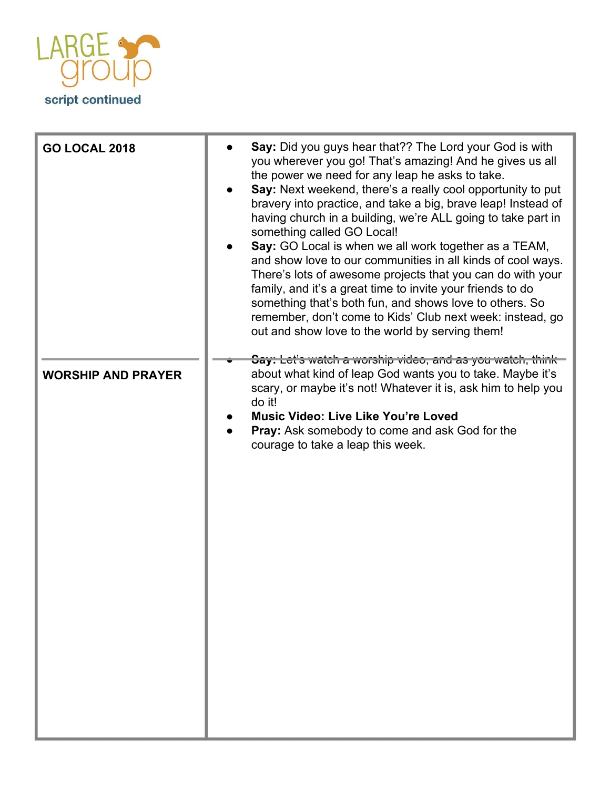

| <b>GO LOCAL 2018</b>      | Say: Did you guys hear that?? The Lord your God is with<br>you wherever you go! That's amazing! And he gives us all<br>the power we need for any leap he asks to take.<br>Say: Next weekend, there's a really cool opportunity to put<br>bravery into practice, and take a big, brave leap! Instead of<br>having church in a building, we're ALL going to take part in<br>something called GO Local!<br>Say: GO Local is when we all work together as a TEAM,<br>and show love to our communities in all kinds of cool ways.<br>There's lots of awesome projects that you can do with your<br>family, and it's a great time to invite your friends to do<br>something that's both fun, and shows love to others. So<br>remember, don't come to Kids' Club next week: instead, go<br>out and show love to the world by serving them! |
|---------------------------|-------------------------------------------------------------------------------------------------------------------------------------------------------------------------------------------------------------------------------------------------------------------------------------------------------------------------------------------------------------------------------------------------------------------------------------------------------------------------------------------------------------------------------------------------------------------------------------------------------------------------------------------------------------------------------------------------------------------------------------------------------------------------------------------------------------------------------------|
| <b>WORSHIP AND PRAYER</b> | Say: Let's watch a worship video, and as you watch, think<br>about what kind of leap God wants you to take. Maybe it's<br>scary, or maybe it's not! Whatever it is, ask him to help you<br>do it!<br><b>Music Video: Live Like You're Loved</b><br>Pray: Ask somebody to come and ask God for the<br>courage to take a leap this week.                                                                                                                                                                                                                                                                                                                                                                                                                                                                                              |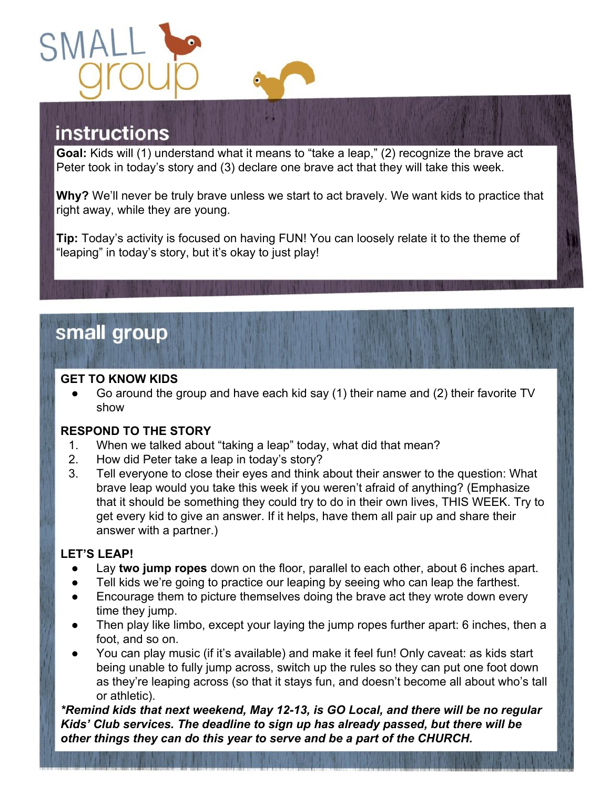

#### **instructions**

**Goal:** Kids will (1) understand what it means to "take a leap," (2) recognize the brave act Peter took in today's story and (3) declare one brave act that they will take this week.

**Why?** We'll never be truly brave unless we start to act bravely. We want kids to practice that right away, while they are young.

**Tip:** Today's activity is focused on having FUN! You can loosely relate it to the theme of "leaping" in today's story, but it's okay to just play!

#### small group

#### **GET TO KNOW KIDS**

Go around the group and have each kid say (1) their name and (2) their favorite TV show

#### **RESPOND TO THE STORY**

- 1. When we talked about "taking a leap" today, what did that mean?
- 2. How did Peter take a leap in today's story?
- 3. Tell everyone to close their eyes and think about their answer to the question: What brave leap would you take this week if you weren't afraid of anything? (Emphasize that it should be something they could try to do in their own lives, THIS WEEK. Try to get every kid to give an answer. If it helps, have them all pair up and share their answer with a partner.)

#### **LET'S LEAP!**

- Lay two jump ropes down on the floor, parallel to each other, about 6 inches apart.
- Tell kids we're going to practice our leaping by seeing who can leap the farthest.
- Encourage them to picture themselves doing the brave act they wrote down every time they jump.
- Then play like limbo, except your laying the jump ropes further apart: 6 inches, then a foot, and so on.
- You can play music (if it's available) and make it feel fun! Only caveat: as kids start being unable to fully jump across, switch up the rules so they can put one foot down as they're leaping across (so that it stays fun, and doesn't become all about who's tall or athletic).

*\*Remind kids that next weekend, May 12-13, is GO Local, and there will be no regular Kids' Club services. The deadline to sign up has already passed, but there will be other things they can do this year to serve and be a part of the CHURCH.*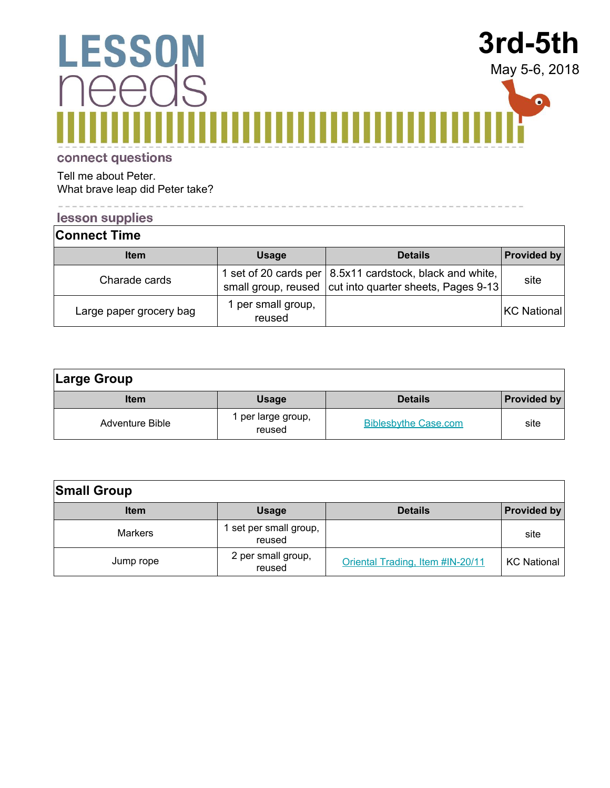#### **3rd-5th LESSON** May 5-6, 2018 IS  $\bullet$ .

connect questions

Tell me about Peter. What brave leap did Peter take?

#### lesson supplies

 $\begin{aligned} \begin{aligned} \mathbf{u} \cdot \mathbf{u} \cdot \mathbf{u} \cdot \mathbf{u} \cdot \mathbf{u} \cdot \mathbf{u} \cdot \mathbf{u} \cdot \mathbf{u} \cdot \mathbf{u} \cdot \mathbf{u} \end{aligned} \end{aligned}$ 

| <b>Connect Time</b>     |                              |                                                                                                                       |             |
|-------------------------|------------------------------|-----------------------------------------------------------------------------------------------------------------------|-------------|
| <b>Item</b>             | <b>Usage</b>                 | <b>Details</b>                                                                                                        | Provided by |
| Charade cards           |                              | 1 set of 20 cards per   8.5x11 cardstock, black and white,<br>small group, reused cut into quarter sheets, Pages 9-13 | site        |
| Large paper grocery bag | 1 per small group,<br>reused |                                                                                                                       | KC National |

----------------------------

| Large Group            |                              |                             |                    |
|------------------------|------------------------------|-----------------------------|--------------------|
| <b>Item</b>            | <b>Usage</b>                 | <b>Details</b>              | <b>Provided by</b> |
| <b>Adventure Bible</b> | I per large group,<br>reused | <b>Biblesbythe Case.com</b> | site               |

| <b>Small Group</b> |                                  |                                  |                    |
|--------------------|----------------------------------|----------------------------------|--------------------|
| <b>Item</b>        | <b>Usage</b>                     | <b>Details</b>                   | <b>Provided by</b> |
| <b>Markers</b>     | 1 set per small group,<br>reused |                                  | site               |
| Jump rope          | 2 per small group,<br>reused     | Oriental Trading, Item #IN-20/11 | <b>KC National</b> |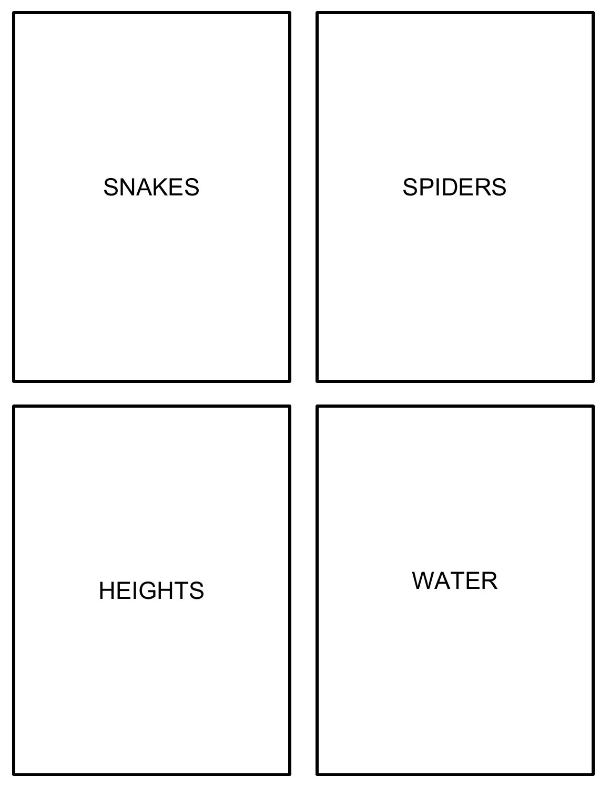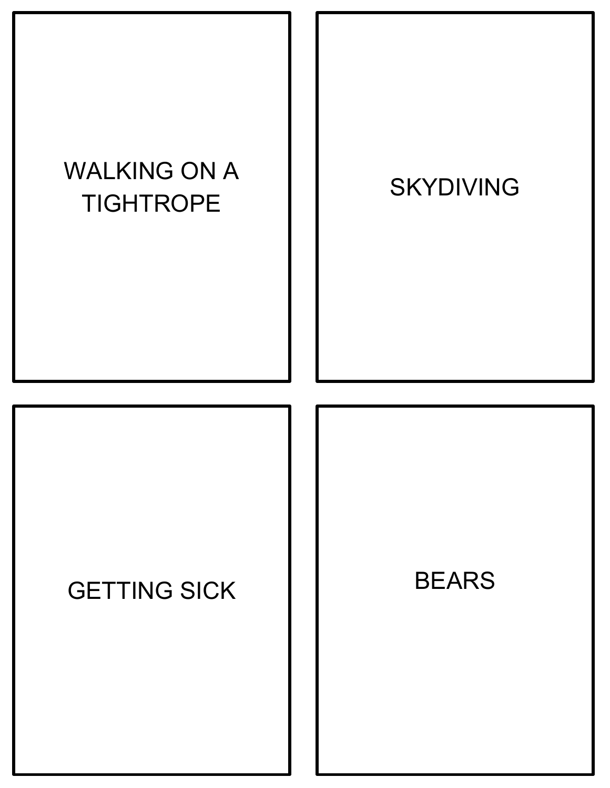

#### GETTING SICK | | BEARS

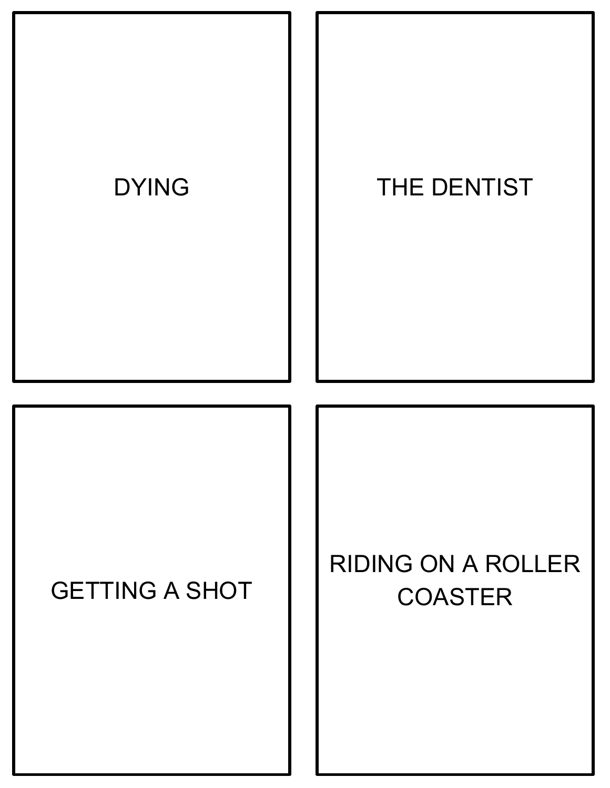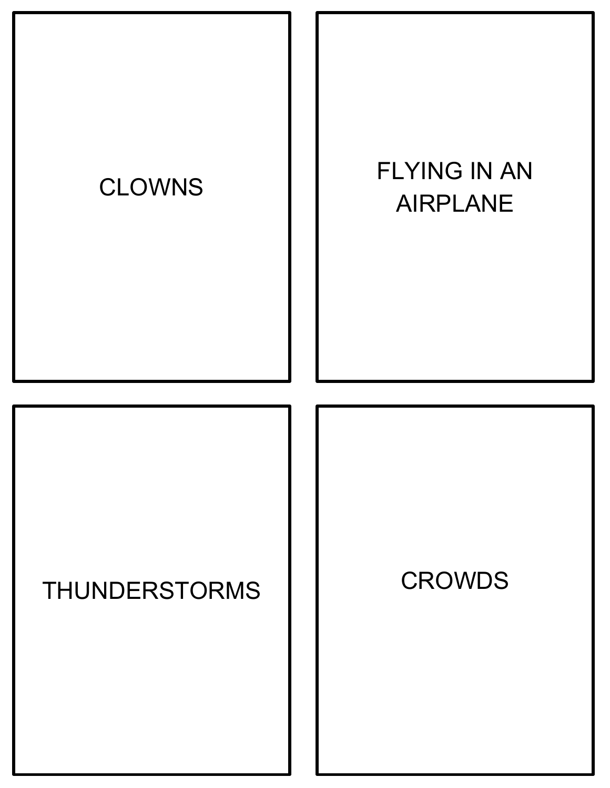

#### THUNDERSTORMS | | CROWDS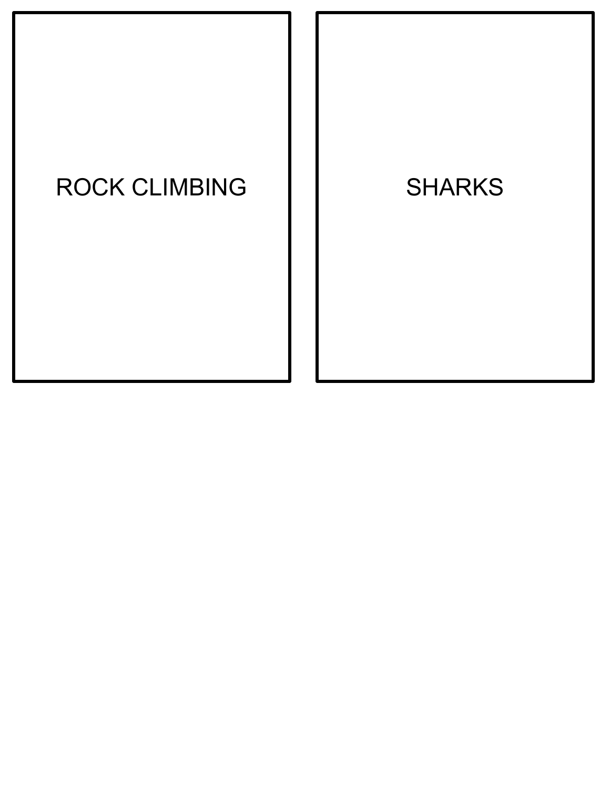# ROCK CLIMBING | | SHARKS